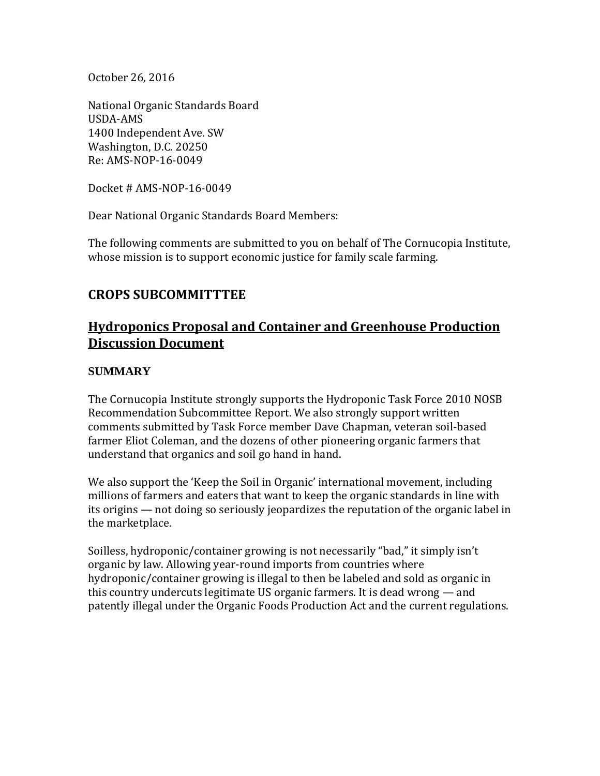October 26, 2016

National Organic Standards Board USDA-AMS 1400 Independent Ave. SW Washington, D.C. 20250 Re: AMS-NOP-16-0049

Docket # AMS-NOP-16-0049

Dear National Organic Standards Board Members:

The following comments are submitted to you on behalf of The Cornucopia Institute, whose mission is to support economic justice for family scale farming.

## **CROPS SUBCOMMITTTEE**

# **Hydroponics Proposal and Container and Greenhouse Production Discussion Document**

#### **SUMMARY**

The Cornucopia Institute strongly supports the Hydroponic Task Force 2010 NOSB Recommendation Subcommittee Report. We also strongly support written comments submitted by Task Force member Dave Chapman, veteran soil-based farmer Eliot Coleman, and the dozens of other pioneering organic farmers that understand that organics and soil go hand in hand.

We also support the 'Keep the Soil in Organic' international movement, including millions of farmers and eaters that want to keep the organic standards in line with its origins — not doing so seriously jeopardizes the reputation of the organic label in the marketplace.

Soilless, hydroponic/container growing is not necessarily "bad," it simply isn't organic by law. Allowing year-round imports from countries where hydroponic/container growing is illegal to then be labeled and sold as organic in this country undercuts legitimate US organic farmers. It is dead wrong — and patently illegal under the Organic Foods Production Act and the current regulations.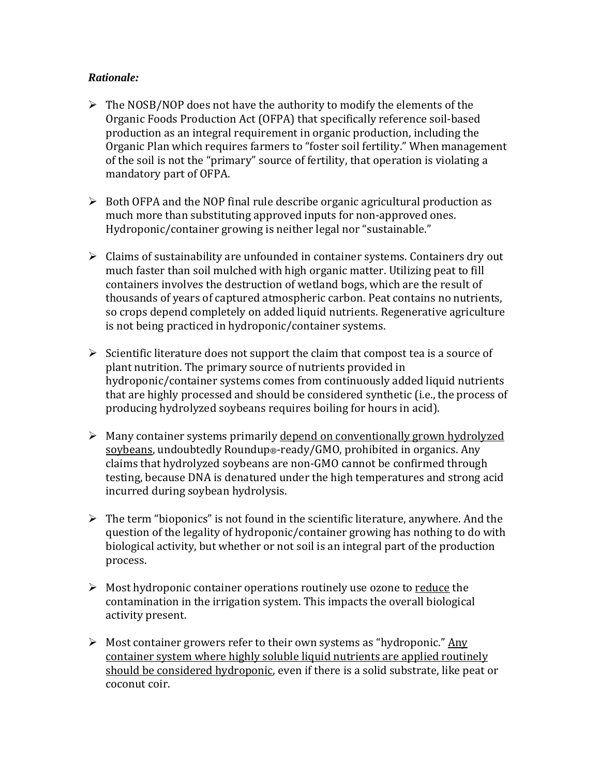#### *Rationale:*

- $\triangleright$  The NOSB/NOP does not have the authority to modify the elements of the Organic Foods Production Act (OFPA) that specifically reference soil-based production as an integral requirement in organic production, including the Organic Plan which requires farmers to "foster soil fertility." When management of the soil is not the "primary" source of fertility, that operation is violating a mandatory part of OFPA.
- $\triangleright$  Both OFPA and the NOP final rule describe organic agricultural production as much more than substituting approved inputs for non-approved ones. Hydroponic/container growing is neither legal nor "sustainable."
- $\triangleright$  Claims of sustainability are unfounded in container systems. Containers dry out much faster than soil mulched with high organic matter. Utilizing peat to fill containers involves the destruction of wetland bogs, which are the result of thousands of years of captured atmospheric carbon. Peat contains no nutrients, so crops depend completely on added liquid nutrients. Regenerative agriculture is not being practiced in hydroponic/container systems.
- $\triangleright$  Scientific literature does not support the claim that compost tea is a source of plant nutrition. The primary source of nutrients provided in hydroponic/container systems comes from continuously added liquid nutrients that are highly processed and should be considered synthetic (i.e., the process of producing hydrolyzed soybeans requires boiling for hours in acid).
- $\triangleright$  Many container systems primarily depend on conventionally grown hydrolyzed soybeans, undoubtedly Roundup®-ready/GMO, prohibited in organics. Any claims that hydrolyzed soybeans are non-GMO cannot be confirmed through testing, because DNA is denatured under the high temperatures and strong acid incurred during soybean hydrolysis.
- $\triangleright$  The term "bioponics" is not found in the scientific literature, anywhere. And the question of the legality of hydroponic/container growing has nothing to do with biological activity, but whether or not soil is an integral part of the production process.
- $\triangleright$  Most hydroponic container operations routinely use ozone to reduce the contamination in the irrigation system. This impacts the overall biological activity present.
- $\triangleright$  Most container growers refer to their own systems as "hydroponic." Any container system where highly soluble liquid nutrients are applied routinely should be considered hydroponic, even if there is a solid substrate, like peat or coconut coir.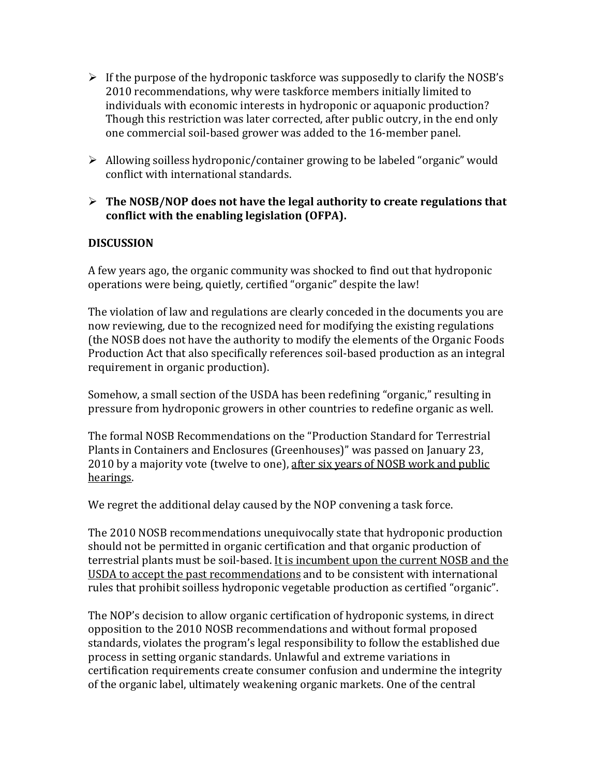- $\triangleright$  If the purpose of the hydroponic taskforce was supposedly to clarify the NOSB's 2010 recommendations, why were taskforce members initially limited to individuals with economic interests in hydroponic or aquaponic production? Though this restriction was later corrected, after public outcry, in the end only one commercial soil-based grower was added to the 16-member panel.
- Allowing soilless hydroponic/container growing to be labeled "organic" would conflict with international standards.
- **The NOSB/NOP does not have the legal authority to create regulations that conflict with the enabling legislation (OFPA).**

### **DISCUSSION**

A few years ago, the organic community was shocked to find out that hydroponic operations were being, quietly, certified "organic" despite the law!

The violation of law and regulations are clearly conceded in the documents you are now reviewing, due to the recognized need for modifying the existing regulations (the NOSB does not have the authority to modify the elements of the Organic Foods Production Act that also specifically references soil-based production as an integral requirement in organic production).

Somehow, a small section of the USDA has been redefining "organic," resulting in pressure from hydroponic growers in other countries to redefine organic as well.

The formal NOSB Recommendations on the "Production Standard for Terrestrial Plants in Containers and Enclosures (Greenhouses)" was passed on January 23, 2010 by a majority vote (twelve to one), after six years of NOSB work and public hearings.

We regret the additional delay caused by the NOP convening a task force.

The 2010 NOSB recommendations unequivocally state that hydroponic production should not be permitted in organic certification and that organic production of terrestrial plants must be soil-based. It is incumbent upon the current NOSB and the USDA to accept the past recommendations and to be consistent with international rules that prohibit soilless hydroponic vegetable production as certified "organic".

The NOP's decision to allow organic certification of hydroponic systems, in direct opposition to the 2010 NOSB recommendations and without formal proposed standards, violates the program's legal responsibility to follow the established due process in setting organic standards. Unlawful and extreme variations in certification requirements create consumer confusion and undermine the integrity of the organic label, ultimately weakening organic markets. One of the central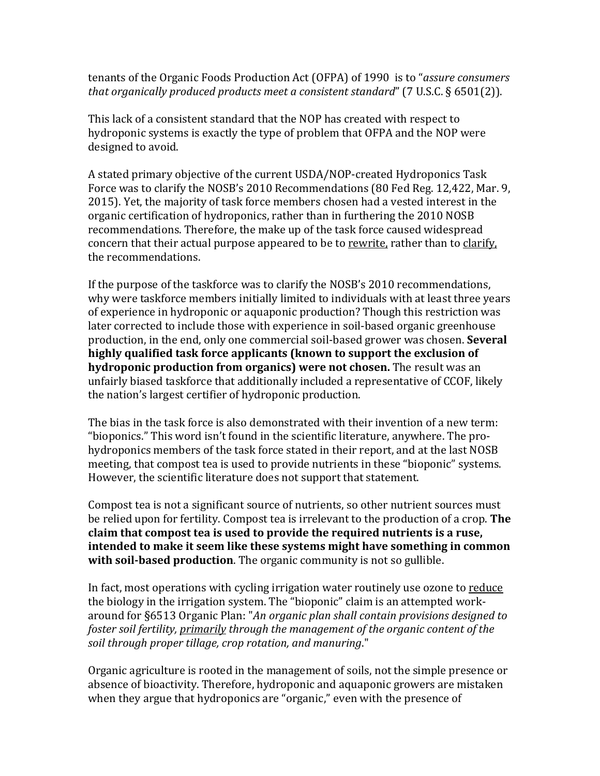tenants of the Organic Foods Production Act (OFPA) of 1990 is to "*assure consumers that organically produced products meet a consistent standard*" (7 U.S.C. § 6501(2)).

This lack of a consistent standard that the NOP has created with respect to hydroponic systems is exactly the type of problem that OFPA and the NOP were designed to avoid.

A stated primary objective of the current USDA/NOP-created Hydroponics Task Force was to clarify the NOSB's 2010 Recommendations (80 Fed Reg. 12,422, Mar. 9, 2015). Yet, the majority of task force members chosen had a vested interest in the organic certification of hydroponics, rather than in furthering the 2010 NOSB recommendations. Therefore, the make up of the task force caused widespread concern that their actual purpose appeared to be to rewrite, rather than to clarify, the recommendations.

If the purpose of the taskforce was to clarify the NOSB's 2010 recommendations, why were taskforce members initially limited to individuals with at least three years of experience in hydroponic or aquaponic production? Though this restriction was later corrected to include those with experience in soil-based organic greenhouse production, in the end, only one commercial soil-based grower was chosen. **Several highly qualified task force applicants (known to support the exclusion of hydroponic production from organics) were not chosen.** The result was an unfairly biased taskforce that additionally included a representative of CCOF, likely the nation's largest certifier of hydroponic production.

The bias in the task force is also demonstrated with their invention of a new term: "bioponics." This word isn't found in the scientific literature, anywhere. The prohydroponics members of the task force stated in their report, and at the last NOSB meeting, that compost tea is used to provide nutrients in these "bioponic" systems. However, the scientific literature does not support that statement.

Compost tea is not a significant source of nutrients, so other nutrient sources must be relied upon for fertility. Compost tea is irrelevant to the production of a crop. **The claim that compost tea is used to provide the required nutrients is a ruse, intended to make it seem like these systems might have something in common with soil-based production**. The organic community is not so gullible.

In fact, most operations with cycling irrigation water routinely use ozone to reduce the biology in the irrigation system. The "bioponic" claim is an attempted workaround for §6513 Organic Plan: "*An organic plan shall contain provisions designed to foster soil fertility, primarily through the management of the organic content of the soil through proper tillage, crop rotation, and manuring*."

Organic agriculture is rooted in the management of soils, not the simple presence or absence of bioactivity. Therefore, hydroponic and aquaponic growers are mistaken when they argue that hydroponics are "organic," even with the presence of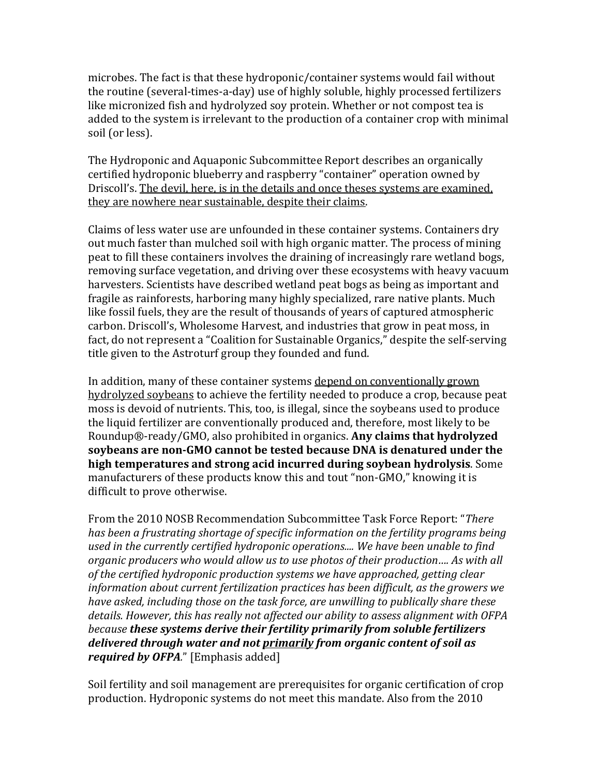microbes. The fact is that these hydroponic/container systems would fail without the routine (several-times-a-day) use of highly soluble, highly processed fertilizers like micronized fish and hydrolyzed soy protein. Whether or not compost tea is added to the system is irrelevant to the production of a container crop with minimal soil (or less).

The Hydroponic and Aquaponic Subcommittee Report describes an organically certified hydroponic blueberry and raspberry "container" operation owned by Driscoll's. The devil, here, is in the details and once theses systems are examined, they are nowhere near sustainable, despite their claims.

Claims of less water use are unfounded in these container systems. Containers dry out much faster than mulched soil with high organic matter. The process of mining peat to fill these containers involves the draining of increasingly rare wetland bogs, removing surface vegetation, and driving over these ecosystems with heavy vacuum harvesters. Scientists have described wetland peat bogs as being as important and fragile as rainforests, harboring many highly specialized, rare native plants. Much like fossil fuels, they are the result of thousands of years of captured atmospheric carbon. Driscoll's, Wholesome Harvest, and industries that grow in peat moss, in fact, do not represent a "Coalition for Sustainable Organics," despite the self-serving title given to the Astroturf group they founded and fund.

In addition, many of these container systems depend on conventionally grown hydrolyzed soybeans to achieve the fertility needed to produce a crop, because peat moss is devoid of nutrients. This, too, is illegal, since the soybeans used to produce the liquid fertilizer are conventionally produced and, therefore, most likely to be Roundup®-ready/GMO, also prohibited in organics. **Any claims that hydrolyzed soybeans are non-GMO cannot be tested because DNA is denatured under the high temperatures and strong acid incurred during soybean hydrolysis**. Some manufacturers of these products know this and tout "non-GMO," knowing it is difficult to prove otherwise.

From the 2010 NOSB Recommendation Subcommittee Task Force Report: "*There has been a frustrating shortage of specific information on the fertility programs being used in the currently certified hydroponic operations.... We have been unable to find organic producers who would allow us to use photos of their production…. As with all of the certified hydroponic production systems we have approached, getting clear information about current fertilization practices has been difficult, as the growers we have asked, including those on the task force, are unwilling to publically share these details. However, this has really not affected our ability to assess alignment with OFPA because these systems derive their fertility primarily from soluble fertilizers delivered through water and not primarily from organic content of soil as required by OFPA.*" [Emphasis added]

Soil fertility and soil management are prerequisites for organic certification of crop production. Hydroponic systems do not meet this mandate. Also from the 2010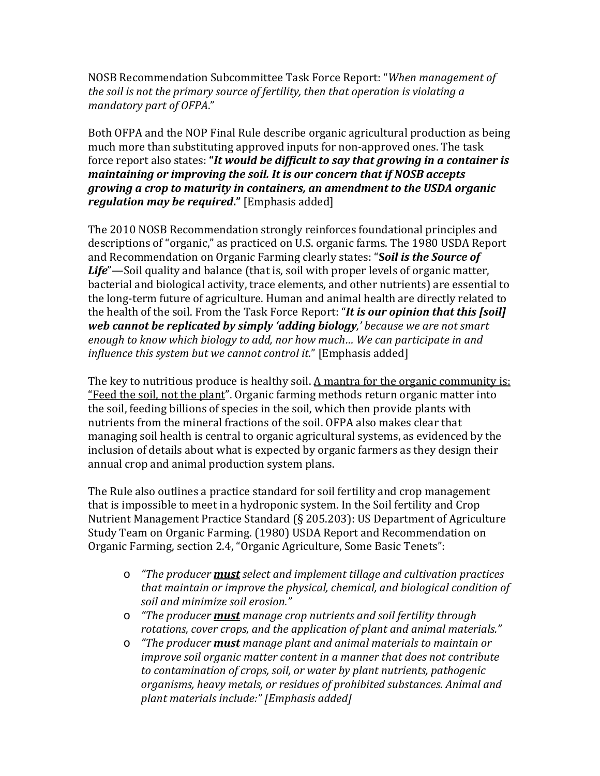NOSB Recommendation Subcommittee Task Force Report: "*When management of the soil is not the primary source of fertility, then that operation is violating a mandatory part of OFPA*."

Both OFPA and the NOP Final Rule describe organic agricultural production as being much more than substituting approved inputs for non-approved ones. The task force report also states: **"***It would be difficult to say that growing in a container is maintaining or improving the soil. It is our concern that if NOSB accepts growing a crop to maturity in containers, an amendment to the USDA organic regulation may be required***."** [Emphasis added]

The 2010 NOSB Recommendation strongly reinforces foundational principles and descriptions of "organic," as practiced on U.S. organic farms. The 1980 USDA Report and Recommendation on Organic Farming clearly states: "**S***oil is the Source of Life*"—Soil quality and balance (that is, soil with proper levels of organic matter, bacterial and biological activity, trace elements, and other nutrients) are essential to the long-term future of agriculture. Human and animal health are directly related to the health of the soil. From the Task Force Report: "*It is our opinion that this [soil] web cannot be replicated by simply 'adding biology,' because we are not smart enough to know which biology to add, nor how much… We can participate in and influence this system but we cannot control it.*" [Emphasis added]

The key to nutritious produce is healthy soil. A mantra for the organic community is: "Feed the soil, not the plant". Organic farming methods return organic matter into the soil, feeding billions of species in the soil, which then provide plants with nutrients from the mineral fractions of the soil. OFPA also makes clear that managing soil health is central to organic agricultural systems, as evidenced by the inclusion of details about what is expected by organic farmers as they design their annual crop and animal production system plans.

The Rule also outlines a practice standard for soil fertility and crop management that is impossible to meet in a hydroponic system. In the Soil fertility and Crop Nutrient Management Practice Standard (§ 205.203): US Department of Agriculture Study Team on Organic Farming. (1980) USDA Report and Recommendation on Organic Farming, section 2.4, "Organic Agriculture, Some Basic Tenets":

- o *"The producer must select and implement tillage and cultivation practices that maintain or improve the physical, chemical, and biological condition of soil and minimize soil erosion."*
- o *"The producer must manage crop nutrients and soil fertility through rotations, cover crops, and the application of plant and animal materials."*
- o *"The producer must manage plant and animal materials to maintain or improve soil organic matter content in a manner that does not contribute to contamination of crops, soil, or water by plant nutrients, pathogenic organisms, heavy metals, or residues of prohibited substances. Animal and plant materials include:" [Emphasis added]*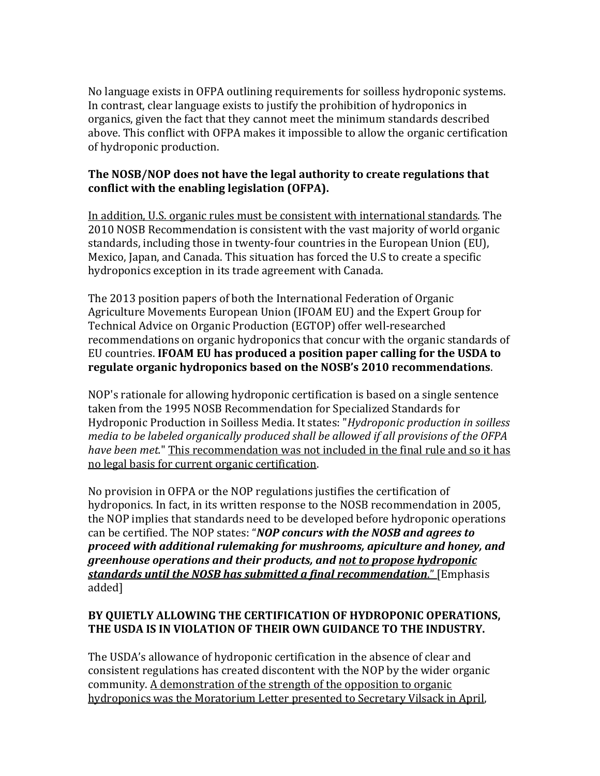No language exists in OFPA outlining requirements for soilless hydroponic systems. In contrast, clear language exists to justify the prohibition of hydroponics in organics, given the fact that they cannot meet the minimum standards described above. This conflict with OFPA makes it impossible to allow the organic certification of hydroponic production.

#### **The NOSB/NOP does not have the legal authority to create regulations that conflict with the enabling legislation (OFPA).**

In addition, U.S. organic rules must be consistent with international standards. The 2010 NOSB Recommendation is consistent with the vast majority of world organic standards, including those in twenty-four countries in the European Union (EU), Mexico, Japan, and Canada. This situation has forced the U.S to create a specific hydroponics exception in its trade agreement with Canada.

The 2013 position papers of both the International Federation of Organic Agriculture Movements European Union (IFOAM EU) and the Expert Group for Technical Advice on Organic Production (EGTOP) offer well-researched recommendations on organic hydroponics that concur with the organic standards of EU countries. **IFOAM EU has produced a position paper calling for the USDA to regulate organic hydroponics based on the NOSB's 2010 recommendations**.

NOP's rationale for allowing hydroponic certification is based on a single sentence taken from the 1995 NOSB Recommendation for Specialized Standards for Hydroponic Production in Soilless Media. It states: "*Hydroponic production in soilless media to be labeled organically produced shall be allowed if all provisions of the OFPA have been met.*" This recommendation was not included in the final rule and so it has no legal basis for current organic certification.

No provision in OFPA or the NOP regulations justifies the certification of hydroponics. In fact, in its written response to the NOSB recommendation in 2005, the NOP implies that standards need to be developed before hydroponic operations can be certified. The NOP states: "*NOP concurs with the NOSB and agrees to proceed with additional rulemaking for mushrooms, apiculture and honey, and greenhouse operations and their products, and not to propose hydroponic standards until the NOSB has submitted a final recommendation*." [Emphasis added]

### **BY QUIETLY ALLOWING THE CERTIFICATION OF HYDROPONIC OPERATIONS, THE USDA IS IN VIOLATION OF THEIR OWN GUIDANCE TO THE INDUSTRY.**

The USDA's allowance of hydroponic certification in the absence of clear and consistent regulations has created discontent with the NOP by the wider organic community. A demonstration of the strength of the opposition to organic hydroponics was the Moratorium Letter presented to Secretary Vilsack in April,